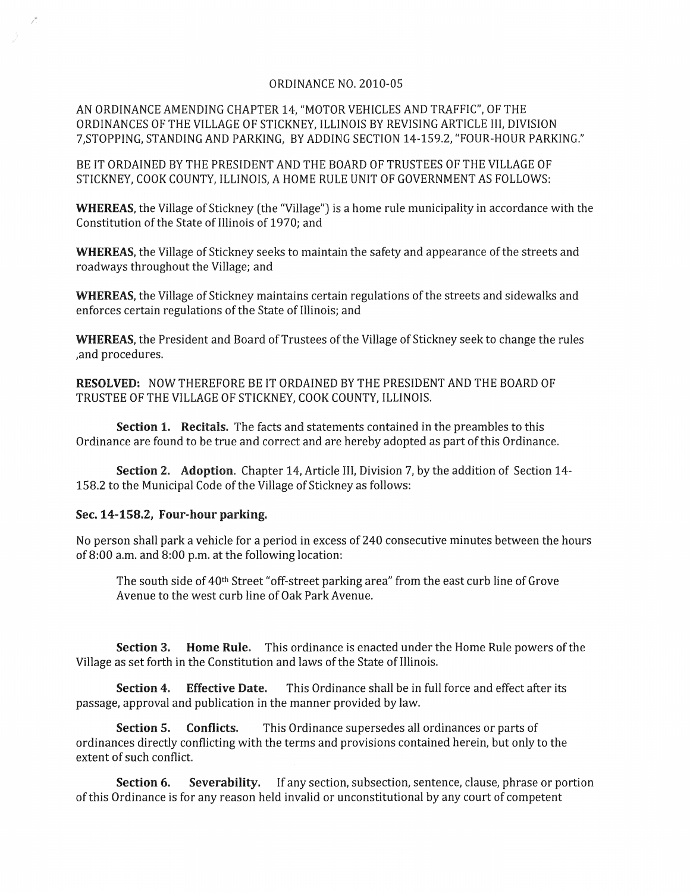## ORDINANCE NO, 2010-05

AN ORDINANCE AMENDING CHAPTER 14, "MOTOR VEHICLES AND TRAFFIC", OF THE ORDINANCES OF THE VILLAGE OF STICKNEY, ILLINOIS BY REVISING ARTICLE III, DIVISION 7,STOPPING, STANDING AND PARKING, BY ADDING SECTION 14-159.2, "FOUR-HOUR PARKING,"

BE IT ORDAINED BY THE PRESIDENT AND THE BOARD OF TRUSTEES OF THE VILLAGE OF STICKNEY, COOK COUNTY, ILLINOIS, A HOME RULE UNIT OF GOVERNMENT AS FOLLOWS:

WHEREAS, the Village of Stickney (the "Village") is a home rule municipality in accordance with the Constitution of the State of lIIinois of 1970; and

WHEREAS, the Village of Stickney seeks to maintain the safety and appearance of the streets and roadways throughout the Village; and

WHEREAS, the Village of Stickney maintains certain regulations of the streets and sidewalks and enforces certain regulations of the State of Illinois; and

WHEREAS, the President and Board of Trustees of the Village of Stickney seek to change the rules ,and procedures.

RESOLVED: NOW THEREFORE BE IT ORDAINED BY THE PRESIDENT AND THE BOARD OF TRUSTEE OF THE VILLAGE OF STICKNEY, COOK COUNTY, ILLINOIS.

Section 1, Recitals, The facts and statements contained in the preambles to this Ordinance are found to be true and correct and are hereby adopted as part of this Ordinance.

Section 2. Adoption. Chapter 14, Article III, Division 7, by the addition of Section 14- 158.2 to the Municipal Code of the Village of Stickney as follows:

## Sec. 14-158.2, Four-hour parking.

No person shall park a vehicle for a period in excess of 240 consecutive minutes between the hours of 8:00 a.m. and 8:00 p.m. at the following location:

The south side of 40th Street "off-street parking area" from the east curb line of Grove Avenue to the west curb line of Oak Park Avenue.

Section 3. Home Rule, This ordinance is enacted under the Home Rule powers of the Village as set forth in the Constitution and laws of the State of Illinois.

Section 4. Effective Date. This Ordinance shall be in full force and effect after its passage, approval and publication in the manner provided by law.

Section 5. Conflicts. This Ordinance supersedes all ordinances or parts of ordinances directly conflicting with the terms and provisions contained herein, but only to the extent of such conflict.

Section 6. Severability. If any section, subsection, sentence, clause, phrase or portion of this Ordinance is for any reason held invalid or unconstitutional by any court of competent